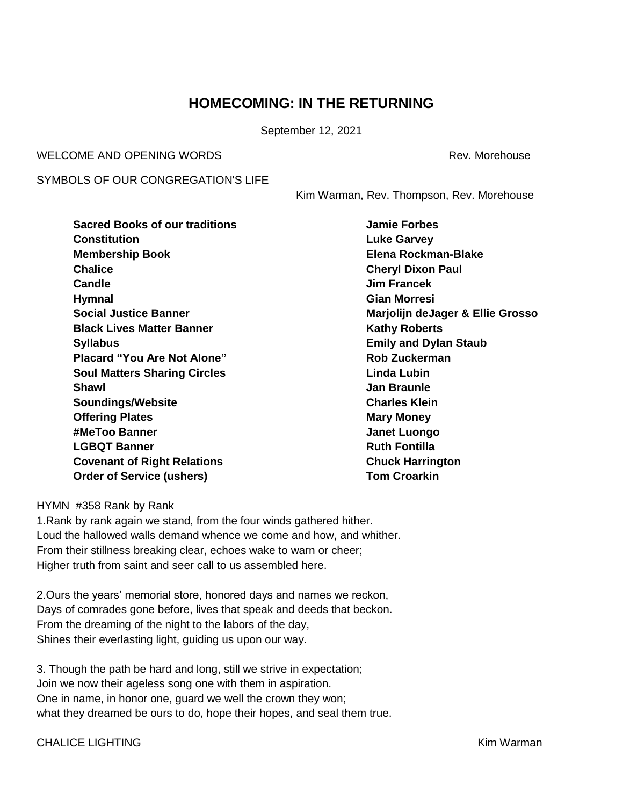### **HOMECOMING: IN THE RETURNING**

September 12, 2021

WELCOME AND OPENING WORDS **Rev. And All Annual Structure Control** Rev. Morehouse

SYMBOLS OF OUR CONGREGATION'S LIFE

Kim Warman, Rev. Thompson, Rev. Morehouse

| <b>Sacred Books of our traditions</b> |
|---------------------------------------|
| Constitution                          |
| <b>Membership Book</b>                |
| Chalice                               |
| Candle                                |
| <b>Hymnal</b>                         |
| <b>Social Justice Banner</b>          |
| <b>Black Lives Matter Banner</b>      |
| <b>Syllabus</b>                       |
| <b>Placard "You Are Not Alone"</b>    |
| <b>Soul Matters Sharing Circles</b>   |
| Shawl                                 |
| <b>Soundings/Website</b>              |
| <b>Offering Plates</b>                |
| #MeToo Banner                         |
| <b>LGBQT Banner</b>                   |
| <b>Covenant of Right Relations</b>    |
| <b>Order of Service (ushers)</b>      |

**Jamie Forbes Luke Garvey Membership Book Elena Rockman-Blake Cheryl Dixon Paul Candle Jim Francek Hymnal Gian Morresi Social Justice Banner Marjolijn deJager & Ellie Grosso Kathy Roberts Emily and Dylan Staub Rob Zuckerman Linda Lubin Shawl Jan Braunle Charles Klein Mary Money Janet Luongo Ruth Fontilla Chuck Harrington Tom Croarkin** 

HYMN #358 Rank by Rank

1.Rank by rank again we stand, from the four winds gathered hither. Loud the hallowed walls demand whence we come and how, and whither. From their stillness breaking clear, echoes wake to warn or cheer; Higher truth from saint and seer call to us assembled here.

2.Ours the years' memorial store, honored days and names we reckon, Days of comrades gone before, lives that speak and deeds that beckon. From the dreaming of the night to the labors of the day, Shines their everlasting light, guiding us upon our way.

3. Though the path be hard and long, still we strive in expectation; Join we now their ageless song one with them in aspiration. One in name, in honor one, guard we well the crown they won; what they dreamed be ours to do, hope their hopes, and seal them true.

CHALICE LIGHTING **CHALICE LIGHTING**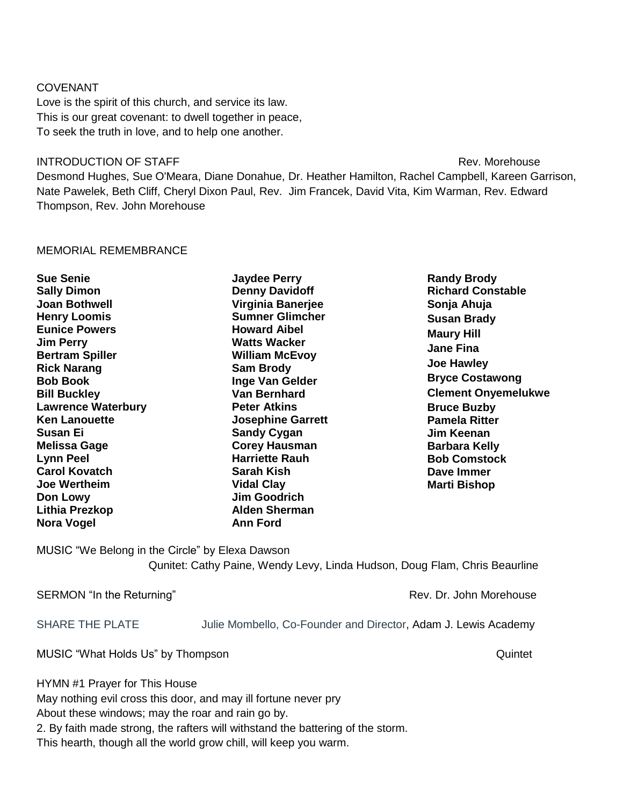#### COVENANT

Love is the spirit of this church, and service its law. This is our great covenant: to dwell together in peace, To seek the truth in love, and to help one another.

#### **INTRODUCTION OF STAFF** Rev. Morehouse **Rev. Morehouse**

Desmond Hughes, Sue O'Meara, Diane Donahue, Dr. Heather Hamilton, Rachel Campbell, Kareen Garrison, Nate Pawelek, Beth Cliff, Cheryl Dixon Paul, Rev. Jim Francek, David Vita, Kim Warman, Rev. Edward Thompson, Rev. John Morehouse

#### MEMORIAL REMEMBRANCE

**Sue Senie Sally Dimon Joan Bothwell Henry Loomis Eunice Powers Jim Perry Bertram Spiller Rick Narang Bob Book Bill Buckley Lawrence Waterbury Ken Lanouette Susan Ei Melissa Gage Lynn Peel Carol Kovatch Joe Wertheim Don Lowy Lithia Prezkop Nora Vogel**

**Jaydee Perry Denny Davidoff Virginia Banerjee Sumner Glimcher Howard Aibel Watts Wacker William McEvoy Sam Brody Inge Van Gelder Van Bernhard Peter Atkins Josephine Garrett Sandy Cygan Corey Hausman Harriette Rauh Sarah Kish Vidal Clay Jim Goodrich Alden Sherman Ann Ford**

**Randy Brody Richard Constable Sonja Ahuja Susan Brady Maury Hill Jane Fina Joe Hawley Bryce Costawong Clement Onyemelukwe Bruce Buzby Pamela Ritter Jim Keenan Barbara Kelly Bob Comstock Dave Immer Marti Bishop**

MUSIC "We Belong in the Circle" by Elexa Dawson Qunitet: Cathy Paine, Wendy Levy, Linda Hudson, Doug Flam, Chris Beaurline

SERMON "In the Returning" The Contract of the Rev. Dr. John Morehouse Rev. Dr. John Morehouse

SHARE THE PLATE **Julie Mombello, Co-Founder and Director, Adam J. Lewis Academy** 

MUSIC "What Holds Us" by Thompson Quintet All the United States and All the United States All the Quintet

HYMN #1 Prayer for This House

May nothing evil cross this door, and may ill fortune never pry

About these windows; may the roar and rain go by.

2. By faith made strong, the rafters will withstand the battering of the storm.

This hearth, though all the world grow chill, will keep you warm.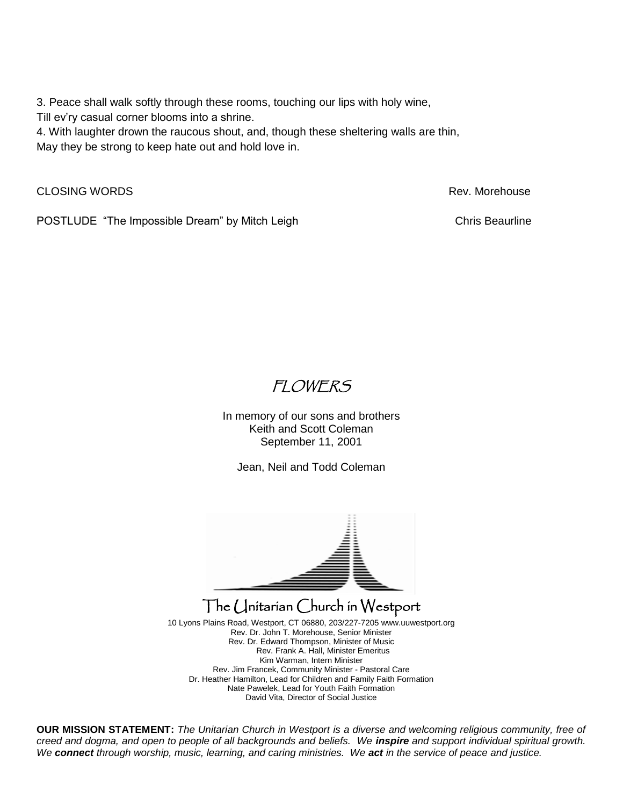3. Peace shall walk softly through these rooms, touching our lips with holy wine,

Till ev'ry casual corner blooms into a shrine.

4. With laughter drown the raucous shout, and, though these sheltering walls are thin, May they be strong to keep hate out and hold love in.

CLOSING WORDS **Rev. Morehouse** Rev. Morehouse **Rev. Morehouse** 

POSTLUDE "The Impossible Dream" by Mitch Leigh Chris Beaurline Chris Beaurline

# FLOWERS

In memory of our sons and brothers Keith and Scott Coleman September 11, 2001

Jean, Neil and Todd Coleman



## The Unitarian Church in Westport

10 Lyons Plains Road, Westport, CT 06880, 203/227-720[5 www.uuwestport.org](http://www.uuwestport.org/) Rev. Dr. John T. Morehouse, Senior Minister Rev. Dr. Edward Thompson, Minister of Music Rev. Frank A. Hall, Minister Emeritus Kim Warman, Intern Minister Rev. Jim Francek, Community Minister - Pastoral Care Dr. Heather Hamilton, Lead for Children and Family Faith Formation Nate Pawelek, Lead for Youth Faith Formation David Vita, Director of Social Justice

**OUR MISSION STATEMENT:** *The Unitarian Church in Westport is a diverse and welcoming religious community, free of creed and dogma, and open to people of all backgrounds and beliefs. We inspire and support individual spiritual growth. We connect through worship, music, learning, and caring ministries. We act in the service of peace and justice.*